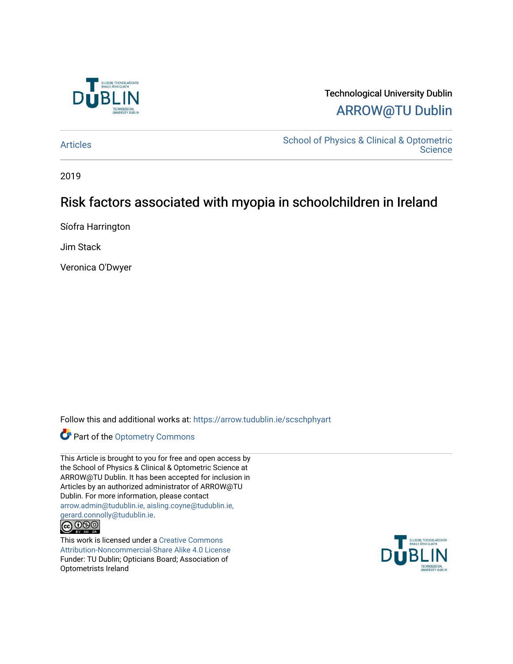

# Technological University Dublin [ARROW@TU Dublin](https://arrow.tudublin.ie/)

[Articles](https://arrow.tudublin.ie/scschphyart) [School of Physics & Clinical & Optometric](https://arrow.tudublin.ie/scschphy)  **Science** 

2019

# Risk factors associated with myopia in schoolchildren in Ireland

Síofra Harrington

Jim Stack

Veronica O'Dwyer

Follow this and additional works at: [https://arrow.tudublin.ie/scschphyart](https://arrow.tudublin.ie/scschphyart?utm_source=arrow.tudublin.ie%2Fscschphyart%2F137&utm_medium=PDF&utm_campaign=PDFCoverPages)

Part of the [Optometry Commons](http://network.bepress.com/hgg/discipline/730?utm_source=arrow.tudublin.ie%2Fscschphyart%2F137&utm_medium=PDF&utm_campaign=PDFCoverPages) 

This Article is brought to you for free and open access by the School of Physics & Clinical & Optometric Science at ARROW@TU Dublin. It has been accepted for inclusion in Articles by an authorized administrator of ARROW@TU Dublin. For more information, please contact [arrow.admin@tudublin.ie, aisling.coyne@tudublin.ie,](mailto:arrow.admin@tudublin.ie,%20aisling.coyne@tudublin.ie,%20gerard.connolly@tudublin.ie)  [gerard.connolly@tudublin.ie](mailto:arrow.admin@tudublin.ie,%20aisling.coyne@tudublin.ie,%20gerard.connolly@tudublin.ie).



This work is licensed under a [Creative Commons](http://creativecommons.org/licenses/by-nc-sa/4.0/) [Attribution-Noncommercial-Share Alike 4.0 License](http://creativecommons.org/licenses/by-nc-sa/4.0/) Funder: TU Dublin; Opticians Board; Association of Optometrists Ireland

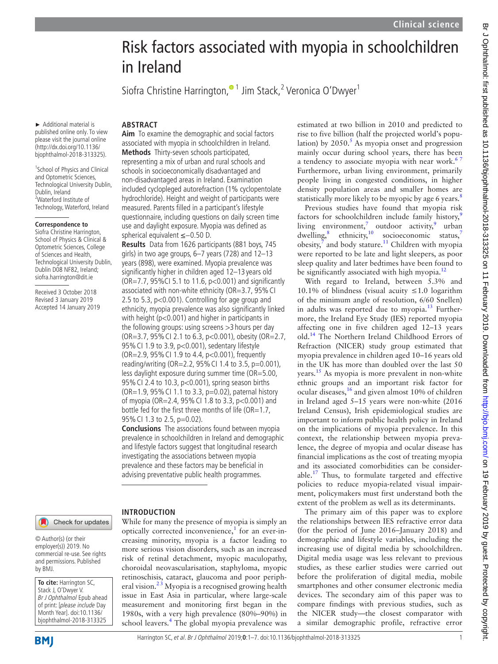# Risk factors associated with myopia in schoolchildren Siofra Christine Harrington[,](http://orcid.org/0000-0003-2667-1796)<sup>® 1</sup> Jim Stack,<sup>2</sup> Veronica O'Dwyer<sup>1</sup> **Aim** To examine the demographic and social factors associated with myopia in schoolchildren in Ireland. **Methods** Thirty-seven schools participated, representing a mix of urban and rural schools and schools in socioeconomically disadvantaged and non-disadvantaged areas in Ireland. Examination included cyclopleged autorefraction (1% cyclopentolate hydrochloride). Height and weight of participants were measured. Parents filled in a participant's lifestyle questionnaire, including questions on daily screen time use and daylight exposure. Myopia was defined as spherical equivalent ≤−0.50 D. **Results** Data from 1626 participants (881 boys, 745 girls) in two age groups, 6–7 years (728) and 12–13 years (898), were examined. Myopia prevalence was significantly higher in children aged 12–13 years old (OR=7.7, 95%CI 5.1 to 11.6, p<0.001) and significantly

associated with non-white ethnicity (OR=3.7, 95% CI 2.5 to 5.3, p<0.001). Controlling for age group and ethnicity, myopia prevalence was also significantly linked with height (p<0.001) and higher in participants in the following groups: using screens >3 hours per day ( $OR = 3.7$ ,  $95\%$  CI 2.1 to 6.3,  $p < 0.001$ ), obesity ( $OR = 2.7$ , 95%CI 1.9 to 3.9, p<0.001), sedentary lifestyle (OR=2.9, 95%CI 1.9 to 4.4, p<0.001), frequently reading/writing (OR=2.2, 95% CI 1.4 to 3.5,  $p=0.001$ ), less daylight exposure during summer time (OR=5.00, 95%CI 2.4 to 10.3, p<0.001), spring season births ( $OR=1.9$ ,  $95\%$  CI 1.1 to 3.3,  $p=0.02$ ), paternal history of myopia (OR=2.4, 95%CI 1.8 to 3.3, p<0.001) and bottle fed for the first three months of life ( $OR=1.7$ , 95% CI 1.3 to 2.5, p=0.02).

**Conclusions** The associations found between myopia prevalence in schoolchildren in Ireland and demographic and lifestyle factors suggest that longitudinal research investigating the associations between myopia prevalence and these factors may be beneficial in advising preventative public health programmes.

#### **Introduction**

While for many the presence of myopia is simply an optically corrected inconvenience,<sup>1</sup> for an ever-increasing minority, myopia is a factor leading to more serious vision disorders, such as an increased risk of retinal detachment, myopic maculopathy, choroidal neovascularisation, staphyloma, myopic retinoschisis, cataract, glaucoma and poor peripheral vision.<sup>23</sup> Myopia is a recognised growing health issue in East Asia in particular, where large-scale measurement and monitoring first began in the 1980s, with a very high prevalence (80%–90%) in school leavers.<sup>4</sup> The global myopia prevalence was estimated at two billion in 2010 and predicted to rise to five billion (half the projected world's population) by  $2050$ .<sup>5</sup> As myopia onset and progression mainly occur during school years, there has been a tendency to associate myopia with near work. $67$ Furthermore, urban living environment, primarily people living in congested conditions, in higher density population areas and smaller homes are statistically more likely to be myopic by age 6 years.<sup>[8](#page-7-5)</sup>

Previous studies have found that myopia risk factors for schoolchildren include family history, $9$ living environment,<sup>7</sup> outdoor activity,<sup>[9](#page-7-6)</sup> urban dwelling, $\frac{8}{3}$  ethnicity, $\frac{10}{3}$  socioeconomic status,<sup>[7](#page-7-7)</sup>  $obsity$ ,<sup>7</sup> and body stature.<sup>11</sup> Children with myopia were reported to be late and light sleepers, as poor sleep quality and later bedtimes have been found to be significantly associated with high myopia. $^{12}$  $^{12}$  $^{12}$ 

With regard to Ireland, between 5.3% and 10.1% of blindness (visual acuity ≤1.0 logarithm of the minimum angle of resolution, 6/60 Snellen) in adults was reported due to myopia. $^{13}$  Furthermore, the Ireland Eye Study (IES) reported myopia affecting one in five children aged 12–13 years old.[14](#page-7-12) The Northern Ireland Childhood Errors of Refraction (NICER) study group estimated that myopia prevalence in children aged 10–16 years old in the UK has more than doubled over the last 50 years.<sup>[15](#page-7-13)</sup> As myopia is more prevalent in non-white ethnic groups and an important risk factor for ocular diseases,  $^{16}$  $^{16}$  $^{16}$  and given almost 10% of children in Ireland aged 5–15 years were non-white (2016 Ireland Census), Irish epidemiological studies are important to inform public health policy in Ireland on the implications of myopia prevalence. In this context, the relationship between myopia prevalence, the degree of myopia and ocular disease has financial implications as the cost of treating myopia and its associated comorbidities can be considerable.[17](#page-7-15) Thus, to formulate targeted and effective policies to reduce myopia-related visual impairment, policymakers must first understand both the extent of the problem as well as its determinants.

The primary aim of this paper was to explore the relationships between IES refractive error data (for the period of June 2016–January 2018) and demographic and lifestyle variables, including the increasing use of digital media by schoolchildren. Digital media usage was less relevant to previous studies, as these earlier studies were carried out before the proliferation of digital media, mobile smartphones and other consumer electronic media devices. The secondary aim of this paper was to compare findings with previous studies, such as the NICER study—the closest comparator with a similar demographic profile, refractive error

► Additional material is published online only. To view please visit the journal online (http://dx.doi.org/10.1136/ bjophthalmol-2018-313325).

in Ireland

**ARSTRACT** 

<sup>1</sup>School of Physics and Clinical and Optometric Sciences, Technological University Dublin, Dublin, Ireland <sup>2</sup>Waterford Institute of Technology, Waterford, Ireland

#### **Correspondence to**

Siofra Christine Harrington, School of Physics & Clinical & Optometric Sciences, College of Sciences and Health, Technological University Dublin, Dublin D08 NF82, Ireland; siofra.harrington@dit.ie

Received 3 October 2018 Revised 3 January 2019 Accepted 14 January 2019

## Check for updates

© Author(s) (or their employer(s)) 2019. No commercial re-use. See rights and permissions. Published by BMJ.

**To cite:** Harrington SC, Stack J, O'Dwyer V. Br J Ophthalmol Epub ahead of print: [please include Day Month Year]. doi:10.1136/ bjophthalmol-2018-313325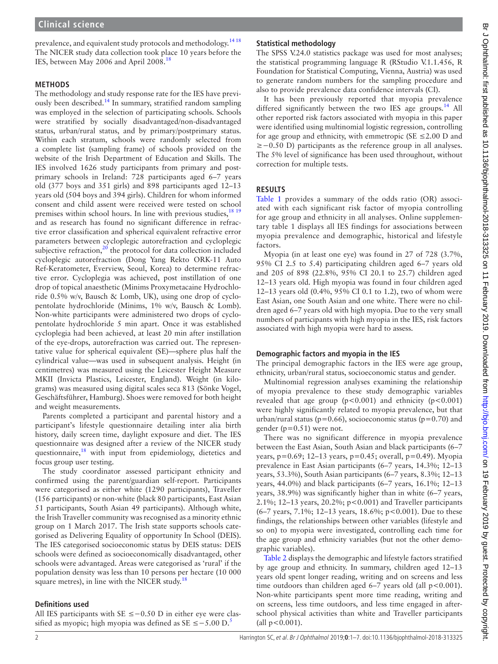prevalence, and equivalent study protocols and methodology.<sup>1418</sup> The NICER study data collection took place 10 years before the IES, between May 2006 and April 2008.<sup>18</sup>

#### **Methods**

The methodology and study response rate for the IES have previ-ously been described.<sup>[14](#page-7-12)</sup> In summary, stratified random sampling was employed in the selection of participating schools. Schools were stratified by socially disadvantaged/non-disadvantaged status, urban/rural status, and by primary/postprimary status. Within each stratum, schools were randomly selected from a complete list (sampling frame) of schools provided on the website of the Irish Department of Education and Skills. The IES involved 1626 study participants from primary and postprimary schools in Ireland: 728 participants aged 6–7 years old (377 boys and 351 girls) and 898 participants aged 12–13 years old (504 boys and 394 girls). Children for whom informed consent and child assent were received were tested on school premises within school hours. In line with previous studies,  $18\frac{19}{2}$ and as research has found no significant difference in refractive error classification and spherical equivalent refractive error parameters between cycloplegic autorefraction and cycloplegic subjective refraction, $2<sup>0</sup>$  the protocol for data collection included cycloplegic autorefraction (Dong Yang Rekto ORK-11 Auto Ref-Keratometer, Everview, Seoul, Korea) to determine refractive error. Cycloplegia was achieved, post instillation of one drop of topical anaesthetic (Minims Proxymetacaine Hydrochloride 0.5% w/v, Bausch & Lomb, UK), using one drop of cyclopentolate hydrochloride (Minims, 1% w/v, Bausch & Lomb). Non-white participants were administered two drops of cyclopentolate hydrochloride 5 min apart. Once it was established cycloplegia had been achieved, at least 20 min after instillation of the eye-drops, autorefraction was carried out. The representative value for spherical equivalent (SE)—sphere plus half the cylindrical value—was used in subsequent analysis. Height (in centimetres) was measured using the Leicester Height Measure MKII (Invicta Plastics, Leicester, England). Weight (in kilograms) was measured using digital scales seca 813 (Sönke Vogel, Geschäftsführer, Hamburg). Shoes were removed for both height and weight measurements.

Parents completed a participant and parental history and a participant's lifestyle questionnaire detailing inter alia birth history, daily screen time, daylight exposure and diet. The IES questionnaire was designed after a review of the NICER study questionnaire, $18$  with input from epidemiology, dietetics and focus group user testing.

The study coordinator assessed participant ethnicity and confirmed using the parent/guardian self-report. Participants were categorised as either white (1290 participants), Traveller (156 participants) or non-white (black 80 participants, East Asian 51 participants, South Asian 49 participants). Although white, the Irish Traveller community was recognised as a minority ethnic group on 1 March 2017. The Irish state supports schools categorised as Delivering Equality of opportunity In School (DEIS). The IES categorised socioeconomic status by DEIS status: DEIS schools were defined as socioeconomically disadvantaged, other schools were advantaged. Areas were categorised as 'rural' if the population density was less than 10 persons per hectare (10 000 square metres), in line with the NICER study. $18$ 

#### **Definitions used**

All IES participants with SE ≤−0.50 D in either eye were classified as myopic; high myopia was defined as  $SE \le -5.00 D^5$  $SE \le -5.00 D^5$  $SE \le -5.00 D^5$ .

### **Statistical methodology**

The SPSS V.24.0 statistics package was used for most analyses; the statistical programming language R (RStudio V.1.1.456, R Foundation for Statistical Computing, Vienna, Austria) was used to generate random numbers for the sampling procedure and also to provide prevalence data confidence intervals (CI).

It has been previously reported that myopia prevalence differed significantly between the two IES age groups.<sup>[14](#page-7-12)</sup> All other reported risk factors associated with myopia in this paper were identified using multinomial logistic regression, controlling for age group and ethnicity, with emmetropic ( $SE \le 2.00$  D and ≥−0.50 D) participants as the reference group in all analyses. The 5% level of significance has been used throughout, without correction for multiple tests.

#### **Results**

[Table](#page-3-0) 1 provides a summary of the odds ratio (OR) associated with each significant risk factor of myopia controlling for age group and ethnicity in all analyses. [Online supplemen](https://dx.doi.org/10.1136/bjophthalmol-2018-313325)[tary table 1](https://dx.doi.org/10.1136/bjophthalmol-2018-313325) displays all IES findings for associations between myopia prevalence and demographic, historical and lifestyle factors.

Myopia (in at least one eye) was found in 27 of 728 (3.7%, 95% CI 2.5 to 5.4) participating children aged 6–7 years old and 205 of 898 (22.8%, 95% CI 20.1 to 25.7) children aged 12–13 years old. High myopia was found in four children aged 12–13 years old (0.4%, 95% CI 0.1 to 1.2), two of whom were East Asian, one South Asian and one white. There were no children aged 6–7 years old with high myopia. Due to the very small numbers of participants with high myopia in the IES, risk factors associated with high myopia were hard to assess.

#### **Demographic factors and myopia in the IES**

The principal demographic factors in the IES were age group, ethnicity, urban/rural status, socioeconomic status and gender.

Multinomial regression analyses examining the relationship of myopia prevalence to these study demographic variables revealed that age group  $(p<0.001)$  and ethnicity  $(p<0.001)$ were highly significantly related to myopia prevalence, but that urban/rural status (p=0.66), socioeconomic status (p=0.70) and gender ( $p=0.51$ ) were not.

There was no significant difference in myopia prevalence between the East Asian, South Asian and black participants (6–7 years, p=0.69; 12–13 years, p=0.45; overall, p=0.49). Myopia prevalence in East Asian participants (6–7 years, 14.3%; 12–13 years, 53.3%), South Asian participants (6–7 years, 8.3%; 12–13 years, 44.0%) and black participants (6–7 years, 16.1%; 12–13 years, 38.9%) was significantly higher than in white (6–7 years, 2.1%; 12–13 years, 20.2%; p<0.001) and Traveller participants (6–7 years, 7.1%; 12–13 years, 18.6%; p<0.001). Due to these findings, the relationships between other variables (lifestyle and so on) to myopia were investigated, controlling each time for the age group and ethnicity variables (but not the other demographic variables).

[Table](#page-4-0) 2 displays the demographic and lifestyle factors stratified by age group and ethnicity. In summary, children aged 12–13 years old spent longer reading, writing and on screens and less time outdoors than children aged  $6-7$  years old (all  $p < 0.001$ ). Non-white participants spent more time reading, writing and on screens, less time outdoors, and less time engaged in afterschool physical activities than white and Traveller participants (all  $p < 0.001$ ).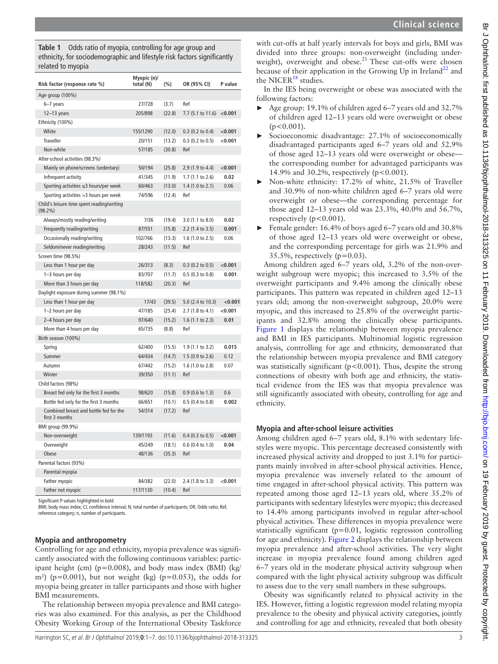<span id="page-3-0"></span>**Table 1** Odds ratio of myopia, controlling for age group and ethnicity, for sociodemographic and lifestyle risk factors significantly related to myopia

| Risk factor (response rate %)                            | Myopic (n)/<br>total (N) | (%)    | OR (95% CI)        | P value |
|----------------------------------------------------------|--------------------------|--------|--------------------|---------|
| Age group (100%)                                         |                          |        |                    |         |
| $6-7$ years                                              | 27/728                   | (3.7)  | Ref                |         |
| $12-13$ years                                            | 205/898                  | (22.8) | 7.7 (5.1 to 11.6)  | < 0.001 |
| Ethnicity (100%)                                         |                          |        |                    |         |
| White                                                    | 155/1290                 | (12.0) | $0.3$ (0.2 to 0.4) | < 0.001 |
| <b>Traveller</b>                                         | 20/151                   | (13.2) | $0.3$ (0.2 to 0.5) | < 0.001 |
| Non-white                                                | 57/185                   | (30.8) | Ref                |         |
| After-school activities (98.3%)                          |                          |        |                    |         |
| Mainly on phone/screens (sedentary)                      | 50/194                   | (25.8) | 2.9 (1.9 to 4.4)   | < 0.001 |
| Infrequent activity                                      | 41/345                   | (11.9) | 1.7 (1.1 to 2.6)   | 0.02    |
| Sporting activities $\leq$ 3 hours/per week              | 60/463                   | (13.0) | 1.4 (1.0 to 2.1)   | 0.06    |
| Sporting activities > 3 hours per week                   | 74/596                   | (12.4) | Ref                |         |
| Child's leisure time spent reading/writing<br>$(98.2\%)$ |                          |        |                    |         |
| Always/mostly reading/writing                            | 7/36                     | (19.4) | 3.0 (1.1 to 8.0)   | 0.02    |
| Frequently reading/writing                               | 87/551                   | (15.8) | 2.2 (1.4 to 3.5)   | 0.001   |
| Occasionally reading/writing                             | 102/766                  | (13.3) | 1.6 (1.0 to 2.5)   | 0.06    |
| Seldom/never reading/writing                             | 28/243                   | (11.5) | Ref                |         |
| Screen time (98.5%)                                      |                          |        |                    |         |
| Less than 1 hour per day                                 | 26/313                   | (8.3)  | $0.3$ (0.2 to 0.5) | < 0.001 |
| 1-3 hours per day                                        | 83/707                   | (11.7) | 0.5 (0.3 to 0.8)   | 0.001   |
| More than 3 hours per day                                | 118/582                  | (20.3) | Ref                |         |
| Daylight exposure during summer (98.1%)                  |                          |        |                    |         |
| Less than 1 hour per day                                 | 17/43                    | (39.5) | 5.0 (2.4 to 10.3)  | < 0.001 |
| 1-2 hours per day                                        | 47/185                   | (25.4) | 2.7 (1.8 to 4.1)   | < 0.001 |
| 2-4 hours per day                                        | 97/640                   | (15.2) | 1.6 (1.1 to 2.3)   | 0.01    |
| More than 4 hours per day                                | 65/735                   | (8.8)  | Ref                |         |
| Birth season (100%)                                      |                          |        |                    |         |
| Spring                                                   | 62/400                   | (15.5) | 1.9 (1.1 to 3.2)   | 0.015   |
| Summer                                                   | 64/434                   | (14.7) | 1.5 (0.9 to 2.6)   | 0.12    |
| Autumn                                                   | 67/442                   | (15.2) | 1.6 (1.0 to 2.8)   | 0.07    |
| Winter                                                   | 39/350                   | (11.1) | Ref                |         |
| Child factors (98%)                                      |                          |        |                    |         |
| Breast fed only for the first 3 months                   | 98/620                   | (15.8) | $0.9$ (0.6 to 1.3) | 0.6     |
| Bottle fed only for the first 3 months                   | 66/651                   | (10.1) | $0.5$ (0.4 to 0.8) | 0.002   |
| Combined breast and bottle fed for the<br>first 3 months | 54/314                   | (17.2) | Ref                |         |
| BMI group (99.9%)                                        |                          |        |                    |         |
| Non-overweight                                           | 139/1193                 | (11.6) | $0.4$ (0.3 to 0.5) | < 0.001 |
| Overweight                                               | 45/249                   | (18.1) | $0.6$ (0.4 to 1.0) | 0.04    |
| Obese                                                    | 48/136                   | (35.3) | Ref                |         |
| Parental factors (93%)                                   |                          |        |                    |         |
| Parental myopia                                          |                          |        |                    |         |
| Father myopic                                            | 84/382                   | (22.0) | 2.4 (1.8 to 3.3)   | < 0.001 |
| Father not myopic                                        | 117/1130                 | (10.4) | Ref                |         |

Significant P values highlighted in bold

BMI, body mass index; CI, confidence interval; N, total number of participants; OR, Odds ratio; Ref, reference category; n, number of participants.

#### **Myopia and anthropometry**

Controlling for age and ethnicity, myopia prevalence was significantly associated with the following continuous variables: participant height (cm) ( $p=0.008$ ), and body mass index (BMI) (kg/ m<sup>2</sup>) (p=0.001), but not weight (kg) (p=0.053), the odds for myopia being greater in taller participants and those with higher BMI measurements.

The relationship between myopia prevalence and BMI categories was also examined. For this analysis, as per the Childhood Obesity Working Group of the International Obesity Taskforce

with cut-offs at half yearly intervals for boys and girls, BMI was divided into three groups: non-overweight (including underweight), overweight and obese.<sup>21</sup> These cut-offs were chosen because of their application in the Growing Up in Ireland<sup>[22](#page-7-19)</sup> and the NICER $^{18}$  studies.

In the IES being overweight or obese was associated with the following factors:

- ► Age group: 19.1% of children aged 6–7 years old and 32.7% of children aged 12–13 years old were overweight or obese  $(p<0.001)$ .
- Socioeconomic disadvantage: 27.1% of socioeconomically disadvantaged participants aged 6–7 years old and 52.9% of those aged 12–13 years old were overweight or obese the corresponding number for advantaged participants was 14.9% and 30.2%, respectively (p<0.001).
- ► Non-white ethnicity: 17.2% of white, 21.5% of Traveller and 30.9% of non-white children aged 6–7 years old were overweight or obese—the corresponding percentage for those aged 12–13 years old was 23.3%, 40.0% and 56.7%, respectively ( $p < 0.001$ ).
- Female gender: 16.4% of boys aged 6–7 years old and 30.8% of those aged 12–13 years old were overweight or obese, and the corresponding percentage for girls was 21.9% and  $35.5\%$ , respectively (p=0.03).

Among children aged 6–7 years old, 3.2% of the non-overweight subgroup were myopic; this increased to 3.5% of the overweight participants and 9.4% among the clinically obese participants. This pattern was repeated in children aged 12–13 years old; among the non-overweight subgroup, 20.0% were myopic, and this increased to 25.8% of the overweight participants and 32.8% among the clinically obese participants. [Figure](#page-4-1) 1 displays the relationship between myopia prevalence and BMI in IES participants. Multinomial logistic regression analysis, controlling for age and ethnicity, demonstrated that the relationship between myopia prevalence and BMI category was statistically significant ( $p$ <0.001). Thus, despite the strong connections of obesity with both age and ethnicity, the statistical evidence from the IES was that myopia prevalence was still significantly associated with obesity, controlling for age and ethnicity.

#### **Myopia and after-school leisure activities**

Among children aged 6–7 years old, 8.1% with sedentary lifestyles were myopic. This percentage decreased consistently with increased physical activity and dropped to just 3.1% for participants mainly involved in after-school physical activities. Hence, myopia prevalence was inversely related to the amount of time engaged in after-school physical activity. This pattern was repeated among those aged 12–13 years old, where 35.2% of participants with sedentary lifestyles were myopic; this decreased to 14.4% among participants involved in regular after-school physical activities. These differences in myopia prevalence were statistically significant (p=0.01, logistic regression controlling for age and ethnicity). [Figure](#page-4-2) 2 displays the relationship between myopia prevalence and after-school activities. The very slight increase in myopia prevalence found among children aged 6–7 years old in the moderate physical activity subgroup when compared with the light physical activity subgroup was difficult to assess due to the very small numbers in these subgroups.

Obesity was significantly related to physical activity in the IES. However, fitting a logistic regression model relating myopia prevalence to the obesity and physical activity categories, jointly and controlling for age and ethnicity, revealed that both obesity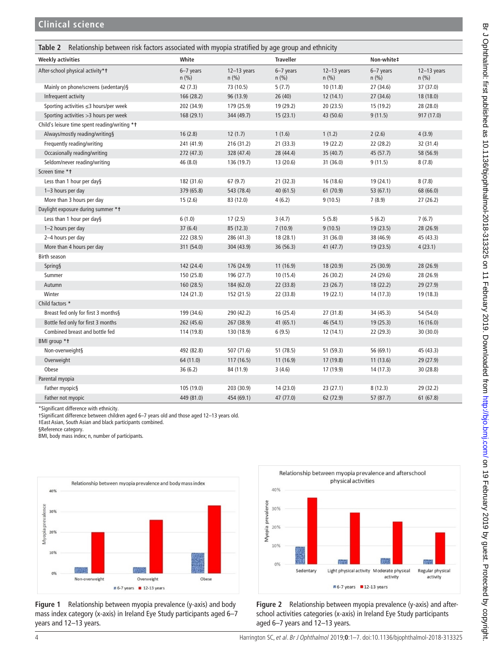<span id="page-4-0"></span>

| Relationship between risk factors associated with myopia stratified by age group and ethnicity<br>Table 2 |                        |                        |                      |                        |                        |                          |
|-----------------------------------------------------------------------------------------------------------|------------------------|------------------------|----------------------|------------------------|------------------------|--------------------------|
| <b>Weekly activities</b>                                                                                  | White                  |                        | <b>Traveller</b>     |                        | Non-white‡             |                          |
| After-school physical activity*t                                                                          | $6-7$ years<br>$n$ (%) | $12-13$ years<br>n (%) | $6-7$ years<br>n (%) | $12-13$ years<br>n (%) | $6-7$ years<br>$n$ (%) | $12-13$ years<br>$n$ (%) |
| Mainly on phone/screens (sedentary)§                                                                      | 42 (7.3)               | 73 (10.5)              | 5(7.7)               | 10 (11.8)              | 27 (34.6)              | 37 (37.0)                |
| Infrequent activity                                                                                       | 166 (28.2)             | 96 (13.9)              | 26(40)               | 12(14.1)               | 27(34.6)               | 18 (18.0)                |
| Sporting activities ≤3 hours/per week                                                                     | 202 (34.9)             | 179 (25.9)             | 19 (29.2)            | 20(23.5)               | 15 (19.2)              | 28 (28.0)                |
| Sporting activities > 3 hours per week                                                                    | 168 (29.1)             | 344 (49.7)             | 15(23.1)             | 43 (50.6)              | 9(11.5)                | 917 (17.0)               |
| Child's leisure time spent reading/writing *1                                                             |                        |                        |                      |                        |                        |                          |
| Always/mostly reading/writing§                                                                            | 16(2.8)                | 12(1.7)                | 1(1.6)               | 1(1.2)                 | 2(2.6)                 | 4(3.9)                   |
| Frequently reading/writing                                                                                | 241 (41.9)             | 216 (31.2)             | 21(33.3)             | 19 (22.2)              | 22 (28.2)              | 32 (31.4)                |
| Occasionally reading/writing                                                                              | 272 (47.3)             | 328 (47.4)             | 28 (44.4)            | 35 (40.7)              | 45 (57.7)              | 58 (56.9)                |
| Seldom/never reading/writing                                                                              | 46 (8.0)               | 136 (19.7)             | 13 (20.6)            | 31 (36.0)              | 9(11.5)                | 8(7.8)                   |
| Screen time * t                                                                                           |                        |                        |                      |                        |                        |                          |
| Less than 1 hour per day§                                                                                 | 182 (31.6)             | 67(9.7)                | 21(32.3)             | 16 (18.6)              | 19 (24.1)              | 8(7.8)                   |
| 1-3 hours per day                                                                                         | 379 (65.8)             | 543 (78.4)             | 40 (61.5)            | 61 (70.9)              | 53(67.1)               | 68 (66.0)                |
| More than 3 hours per day                                                                                 | 15(2.6)                | 83 (12.0)              | 4(6.2)               | 9(10.5)                | 7(8.9)                 | 27(26.2)                 |
| Daylight exposure during summer *1                                                                        |                        |                        |                      |                        |                        |                          |
| Less than 1 hour per day§                                                                                 | 6(1.0)                 | 17(2.5)                | 3(4.7)               | 5(5.8)                 | 5(6.2)                 | 7(6.7)                   |
| 1-2 hours per day                                                                                         | 37(6.4)                | 85 (12.3)              | 7(10.9)              | 9(10.5)                | 19(23.5)               | 28 (26.9)                |
| 2-4 hours per day                                                                                         | 222 (38.5)             | 286 (41.3)             | 18 (28.1)            | 31 (36.0)              | 38 (46.9)              | 45 (43.3)                |
| More than 4 hours per day                                                                                 | 311 (54.0)             | 304 (43.9)             | 36 (56.3)            | 41 (47.7)              | 19(23.5)               | 4(23.1)                  |
| Birth season                                                                                              |                        |                        |                      |                        |                        |                          |
| Spring§                                                                                                   | 142 (24.4)             | 176 (24.9)             | 11(16.9)             | 18 (20.9)              | 25(30.9)               | 28 (26.9)                |
| Summer                                                                                                    | 150 (25.8)             | 196 (27.7)             | 10 (15.4)            | 26 (30.2)              | 24 (29.6)              | 28 (26.9)                |
| Autumn                                                                                                    | 160 (28.5)             | 184 (62.0)             | 22 (33.8)            | 23(26.7)               | 18(22.2)               | 29 (27.9)                |
| Winter                                                                                                    | 124 (21.3)             | 152 (21.5)             | 22 (33.8)            | 19(22.1)               | 14 (17.3)              | 19 (18.3)                |
| Child factors *                                                                                           |                        |                        |                      |                        |                        |                          |
| Breast fed only for first 3 months§                                                                       | 199 (34.6)             | 290 (42.2)             | 16 (25.4)            | 27 (31.8)              | 34 (45.3)              | 54 (54.0)                |
| Bottle fed only for first 3 months                                                                        | 262 (45.6)             | 267 (38.9)             | 41(65.1)             | 46 (54.1)              | 19(25.3)               | 16 (16.0)                |
| Combined breast and bottle fed                                                                            | 114 (19.8)             | 130 (18.9)             | 6(9.5)               | 12(14.1)               | 22 (29.3)              | 30 (30.0)                |
| BMI group *t                                                                                              |                        |                        |                      |                        |                        |                          |
| Non-overweight§                                                                                           | 492 (82.8)             | 507 (71.6)             | 51 (78.5)            | 51 (59.3)              | 56 (69.1)              | 45 (43.3)                |
| Overweight                                                                                                | 64 (11.0)              | 117(16.5)              | 11(16.9)             | 17 (19.8)              | 11(13.6)               | 29 (27.9)                |
| Obese                                                                                                     | 36(6.2)                | 84 (11.9)              | 3(4.6)               | 17 (19.9)              | 14(17.3)               | 30 (28.8)                |
| Parental myopia                                                                                           |                        |                        |                      |                        |                        |                          |
| Father myopic§                                                                                            | 105 (19.0)             | 203 (30.9)             | 14(23.0)             | 23(27.1)               | 8(12.3)                | 29 (32.2)                |
| Father not myopic                                                                                         | 449 (81.0)             | 454 (69.1)             | 47 (77.0)            | 62 (72.9)              | 57 (87.7)              | 61(67.8)                 |

\*Significant difference with ethnicity.

†Significant difference between children aged 6–7 years old and those aged 12–13 years old.

‡East Asian, South Asian and black participants combined.

§Reference category.

BMI, body mass index; n, number of participants.



<span id="page-4-1"></span>**Figure 1** Relationship between myopia prevalence (y-axis) and body mass index category (x-axis) in Ireland Eye Study participants aged 6–7 years and 12–13 years.



<span id="page-4-2"></span>**Figure 2** Relationship between myopia prevalence (y-axis) and afterschool activities categories (x-axis) in Ireland Eye Study participants aged 6–7 years and 12–13 years.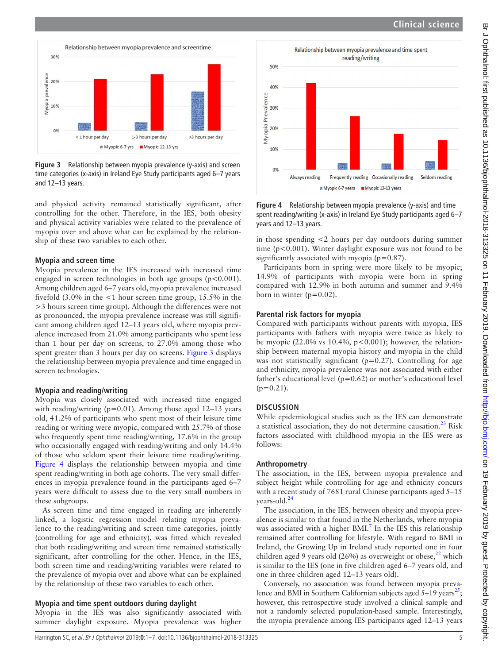

<span id="page-5-0"></span>**Figure 3** Relationship between myopia prevalence (y-axis) and screen time categories (x-axis) in Ireland Eye Study participants aged 6–7 years and 12–13 years.

and physical activity remained statistically significant, after controlling for the other. Therefore, in the IES, both obesity and physical activity variables were related to the prevalence of myopia over and above what can be explained by the relationship of these two variables to each other.

#### **Myopia and screen time**

Myopia prevalence in the IES increased with increased time engaged in screen technologies in both age groups  $(p<0.001)$ . Among children aged 6–7 years old, myopia prevalence increased fivefold (3.0% in the <1 hour screen time group, 15.5% in the >3 hours screen time group). Although the differences were not as pronounced, the myopia prevalence increase was still significant among children aged 12–13 years old, where myopia prevalence increased from 21.0% among participants who spent less than 1 hour per day on screens, to 27.0% among those who spent greater than 3 hours per day on screens. [Figure](#page-5-0) 3 displays the relationship between myopia prevalence and time engaged in screen technologies.

#### **Myopia and reading/writing**

Myopia was closely associated with increased time engaged with reading/writing ( $p=0.01$ ). Among those aged 12–13 years old, 41.2% of participants who spent most of their leisure time reading or writing were myopic, compared with 25.7% of those who frequently spent time reading/writing, 17.6% in the group who occasionally engaged with reading/writing and only 14.4% of those who seldom spent their leisure time reading/writing. [Figure](#page-5-1) 4 displays the relationship between myopia and time spent reading/writing in both age cohorts. The very small differences in myopia prevalence found in the participants aged 6–7 years were difficult to assess due to the very small numbers in these subgroups.

As screen time and time engaged in reading are inherently linked, a logistic regression model relating myopia prevalence to the reading/writing and screen time categories, jointly (controlling for age and ethnicity), was fitted which revealed that both reading/writing and screen time remained statistically significant, after controlling for the other. Hence, in the IES, both screen time and reading/writing variables were related to the prevalence of myopia over and above what can be explained by the relationship of these two variables to each other.

#### **Myopia and time spent outdoors during daylight**

Myopia in the IES was also significantly associated with summer daylight exposure. Myopia prevalence was higher



<span id="page-5-1"></span>**Figure 4** Relationship between myopia prevalence (y-axis) and time spent reading/writing (x-axis) in Ireland Eye Study participants aged 6–7 years and 12–13 years.

in those spending <2 hours per day outdoors during summer time (p<0.001). Winter daylight exposure was not found to be significantly associated with myopia ( $p=0.87$ ).

Participants born in spring were more likely to be myopic; 14.9% of participants with myopia were born in spring compared with 12.9% in both autumn and summer and 9.4% born in winter  $(p=0.02)$ .

#### **Parental risk factors for myopia**

Compared with participants without parents with myopia, IES participants with fathers with myopia were twice as likely to be myopic (22.0% vs 10.4%,  $p<0.001$ ); however, the relationship between maternal myopia history and myopia in the child was not statistically significant ( $p=0.27$ ). Controlling for age and ethnicity, myopia prevalence was not associated with either father's educational level ( $p=0.62$ ) or mother's educational level  $(p=0.21)$ .

#### **Discussion**

While epidemiological studies such as the IES can demonstrate a statistical association, they do not determine causation. $^{23}$  Risk factors associated with childhood myopia in the IES were as follows:

#### **Anthropometry**

The association, in the IES, between myopia prevalence and subject height while controlling for age and ethnicity concurs with a recent study of 7681 rural Chinese participants aged 5–15 years-old.<sup>[24](#page-7-21)</sup>

The association, in the IES, between obesity and myopia prevalence is similar to that found in the Netherlands, where myopia was associated with a higher  $BMI$ .<sup>7</sup> In the IES this relationship remained after controlling for lifestyle. With regard to BMI in Ireland, the Growing Up in Ireland study reported one in four children aged 9 years old (26%) as overweight or obese, $2^2$  which is similar to the IES (one in five children aged 6–7 years old, and one in three children aged 12–13 years old).

Conversely, no association was found between myopia prevalence and BMI in Southern Californian subjects aged  $5-19$  years<sup>[25](#page-7-22)</sup>; however, this retrospective study involved a clinical sample and not a randomly selected population-based sample. Interestingly, the myopia prevalence among IES participants aged 12–13 years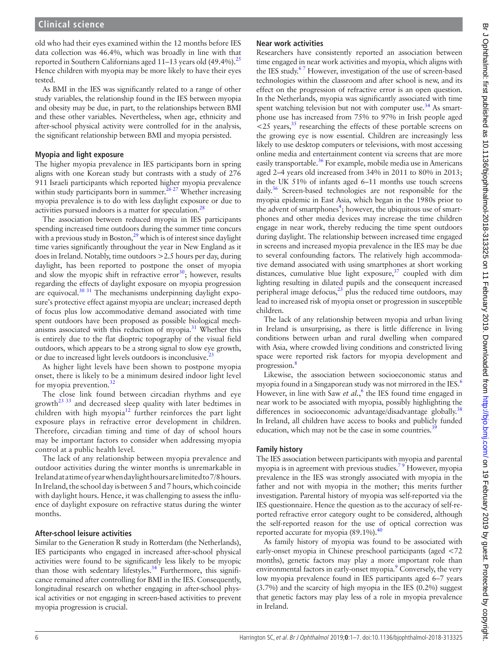old who had their eyes examined within the 12 months before IES data collection was 46.4%, which was broadly in line with that reported in Southern Californians aged  $11-13$  years old  $(49.4\%)$ <sup>25</sup> Hence children with myopia may be more likely to have their eyes tested.

As BMI in the IES was significantly related to a range of other study variables, the relationship found in the IES between myopia and obesity may be due, in part, to the relationships between BMI and these other variables. Nevertheless, when age, ethnicity and after-school physical activity were controlled for in the analysis, the significant relationship between BMI and myopia persisted.

#### **Myopia and light exposure**

The higher myopia prevalence in IES participants born in spring aligns with one Korean study but contrasts with a study of 276 911 Israeli participants which reported higher myopia prevalence within study participants born in summer.<sup> $2627$ </sup> Whether increasing myopia prevalence is to do with less daylight exposure or due to activities pursued indoors is a matter for speculation.<sup>[28](#page-7-24)</sup>

The association between reduced myopia in IES participants spending increased time outdoors during the summer time concurs with a previous study in Boston, $29$  which is of interest since daylight time varies significantly throughout the year in New England as it does in Ireland. Notably, time outdoors >2.5 hours per day, during daylight, has been reported to postpone the onset of myopia and slow the myopic shift in refractive error $^{30}$ ; however, results regarding the effects of daylight exposure on myopia progression are equivocal.[30 31](#page-7-26) The mechanisms underpinning daylight exposure's protective effect against myopia are unclear; increased depth of focus plus low accommodative demand associated with time spent outdoors have been proposed as possible biological mechanisms associated with this reduction of myopia. $31$  Whether this is entirely due to the flat dioptric topography of the visual field outdoors, which appears to be a strong signal to slow eye growth, or due to increased light levels outdoors is inconclusive.<sup>[23](#page-7-20)</sup>

As higher light levels have been shown to postpone myopia onset, there is likely to be a minimum desired indoor light level for myopia prevention.<sup>[32](#page-7-28)</sup>

The close link found between circadian rhythms and eye growth<sup>[23 33](#page-7-20)</sup> and decreased sleep quality with later bedtimes in children with high myopia $12$  further reinforces the part light exposure plays in refractive error development in children. Therefore, circadian timing and time of day of school hours may be important factors to consider when addressing myopia control at a public health level.

The lack of any relationship between myopia prevalence and outdoor activities during the winter months is unremarkable in Ireland at a time of year when daylight hours are limited to 7/8 hours. In Ireland, the school day is between 5 and 7 hours, which coincide with daylight hours. Hence, it was challenging to assess the influence of daylight exposure on refractive status during the winter months.

#### **After-school leisure activities**

Similar to the Generation R study in Rotterdam (the Netherlands), IES participants who engaged in increased after-school physical activities were found to be significantly less likely to be myopic than those with sedentary lifestyles.<sup>34</sup> Furthermore, this significance remained after controlling for BMI in the IES. Consequently, longitudinal research on whether engaging in after-school physical activities or not engaging in screen-based activities to prevent myopia progression is crucial.

## **Near work activities**

Researchers have consistently reported an association between time engaged in near work activities and myopia, which aligns with the IES study.<sup>67</sup> However, investigation of the use of screen-based technologies within the classroom and after school is new, and its effect on the progression of refractive error is an open question. In the Netherlands, myopia was significantly associated with time spent watching television but not with computer use. $34$  As smartphone use has increased from 75% to 97% in Irish people aged  $\approx$  25 years,<sup>35</sup> researching the effects of these portable screens on the growing eye is now essential. Children are increasingly less likely to use desktop computers or televisions, with most accessing online media and entertainment content via screens that are more easily transportable.<sup>[36](#page-7-31)</sup> For example, mobile media use in Americans aged 2–4 years old increased from 34% in 2011 to 80% in 2013; in the UK 51% of infants aged 6–11 months use touch screens daily.<sup>36</sup> Screen-based technologies are not responsible for the myopia epidemic in East Asia, which began in the 1980s prior to the advent of smartphones<sup>4</sup>; however, the ubiquitous use of smartphones and other media devices may increase the time children engage in near work, thereby reducing the time spent outdoors during daylight. The relationship between increased time engaged in screens and increased myopia prevalence in the IES may be due to several confounding factors. The relatively high accommodative demand associated with using smartphones at short working distances, cumulative blue light exposure, $37$  coupled with dim lighting resulting in dilated pupils and the consequent increased peripheral image defocus, $23$  plus the reduced time outdoors, may lead to increased risk of myopia onset or progression in susceptible children.

The lack of any relationship between myopia and urban living in Ireland is unsurprising, as there is little difference in living conditions between urban and rural dwelling when compared with Asia, where crowded living conditions and constricted living space were reported risk factors for myopia development and progression.<sup>8</sup>

Likewise, the association between socioeconomic status and myopia found in a Singaporean study was not mirrored in the IES.<sup>6</sup> However, in line with Saw *et al.*,<sup>[6](#page-7-4)</sup> the IES found time engaged in near work to be associated with myopia, possibly highlighting the differences in socioeconomic advantage/disadvantage globally.<sup>[38](#page-7-33)</sup> In Ireland, all children have access to books and publicly funded education, which may not be the case in some countries. $39$ 

### **Family history**

The IES association between participants with myopia and parental myopia is in agreement with previous studies.<sup>79</sup> However, myopia prevalence in the IES was strongly associated with myopia in the father and not with myopia in the mother; this merits further investigation. Parental history of myopia was self-reported via the IES questionnaire. Hence the question as to the accuracy of self-reported refractive error category ought to be considered, although the self-reported reason for the use of optical correction was reported accurate for myopia  $(89.1\%)$ .<sup>40</sup>

As family history of myopia was found to be associated with early-onset myopia in Chinese preschool participants (aged <72 months), genetic factors may play a more important role than environmental factors in early-onset myopia.<sup>[9](#page-7-6)</sup> Conversely, the very low myopia prevalence found in IES participants aged 6–7 years (3.7%) and the scarcity of high myopia in the IES (0.2%) suggest that genetic factors may play less of a role in myopia prevalence in Ireland.